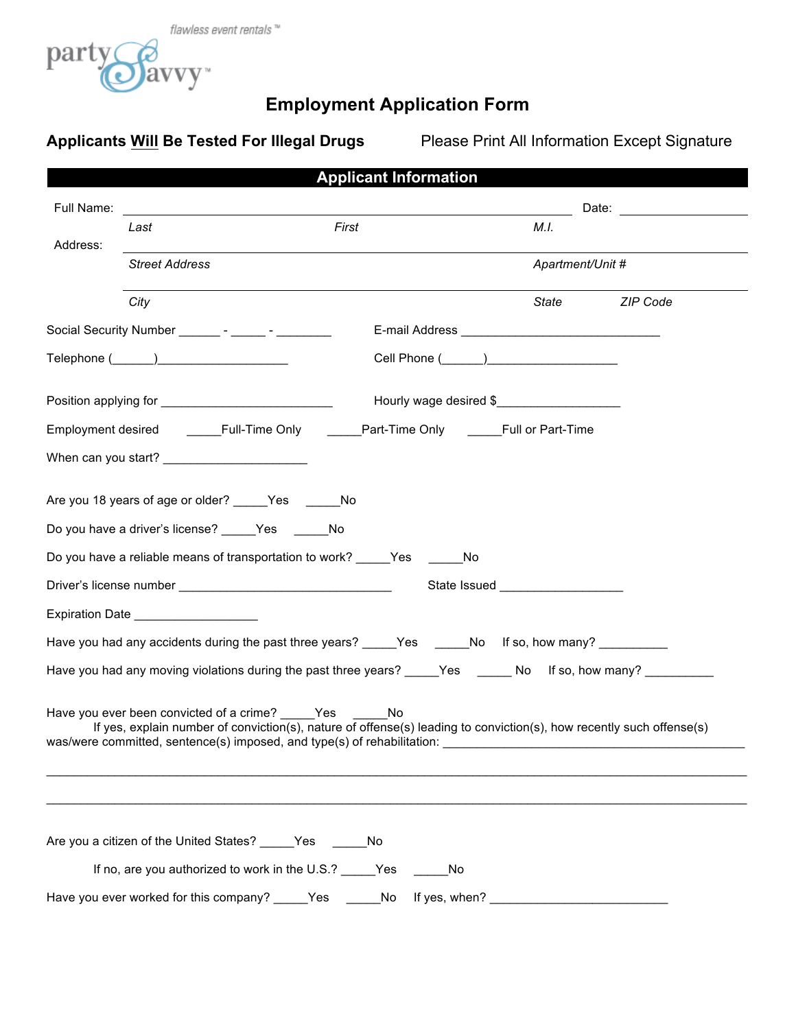

# **Employment Application Form**

Applicants **Will Be Tested For Illegal Drugs** Please Print All Information Except Signature

| <b>Applicant Information</b> |                                                                                                                                                                                                                                                                                                                                                                                                           |           |                        |                  |                                       |
|------------------------------|-----------------------------------------------------------------------------------------------------------------------------------------------------------------------------------------------------------------------------------------------------------------------------------------------------------------------------------------------------------------------------------------------------------|-----------|------------------------|------------------|---------------------------------------|
| Full Name:                   |                                                                                                                                                                                                                                                                                                                                                                                                           |           |                        |                  | Date: <u>________________________</u> |
| Address:                     | Last                                                                                                                                                                                                                                                                                                                                                                                                      | First     |                        | M.I.             |                                       |
|                              | <b>Street Address</b>                                                                                                                                                                                                                                                                                                                                                                                     |           |                        | Apartment/Unit # |                                       |
|                              | City                                                                                                                                                                                                                                                                                                                                                                                                      |           |                        | State            | ZIP Code                              |
|                              | Social Security Number __________ - _______ - __________                                                                                                                                                                                                                                                                                                                                                  |           |                        |                  |                                       |
|                              | $\mathsf{Telephone}\ (\_\_\_\_\_\_\_\_\_\_\_\_$                                                                                                                                                                                                                                                                                                                                                           |           |                        |                  |                                       |
|                              | Position applying for ________________________________                                                                                                                                                                                                                                                                                                                                                    |           | Hourly wage desired \$ |                  |                                       |
|                              | Employment desired _______Full-Time Only _______Part-Time Only ______Full or Part-Time                                                                                                                                                                                                                                                                                                                    |           |                        |                  |                                       |
|                              | When can you start? __________________________                                                                                                                                                                                                                                                                                                                                                            |           |                        |                  |                                       |
|                              | Are you 18 years of age or older? Yes No                                                                                                                                                                                                                                                                                                                                                                  |           |                        |                  |                                       |
|                              | Do you have a driver's license? _____Yes _______No                                                                                                                                                                                                                                                                                                                                                        |           |                        |                  |                                       |
|                              | Do you have a reliable means of transportation to work? _____Yes ______No                                                                                                                                                                                                                                                                                                                                 |           |                        |                  |                                       |
|                              |                                                                                                                                                                                                                                                                                                                                                                                                           |           |                        |                  |                                       |
|                              | Expiration Date ___________________                                                                                                                                                                                                                                                                                                                                                                       |           |                        |                  |                                       |
|                              | Have you had any accidents during the past three years? _____Yes ______No lf so, how many? _________                                                                                                                                                                                                                                                                                                      |           |                        |                  |                                       |
|                              | Have you had any moving violations during the past three years? _____Yes ______No lf so, how many? __________                                                                                                                                                                                                                                                                                             |           |                        |                  |                                       |
|                              | Have you ever been convicted of a crime? Yes No<br>If yes, explain number of conviction(s), nature of offense(s) leading to conviction(s), how recently such offense(s)<br>was/were committed, sentence(s) imposed, and type(s) of rehabilitation: example and the sense of the sense of the sense of the sense of the sense of the sense of the sense of the sense of the sense of the sense of the sens |           |                        |                  |                                       |
|                              |                                                                                                                                                                                                                                                                                                                                                                                                           |           |                        |                  |                                       |
|                              | Are you a citizen of the United States? _____Yes ______No                                                                                                                                                                                                                                                                                                                                                 |           |                        |                  |                                       |
|                              | If no, are you authorized to work in the U.S.? _____Yes                                                                                                                                                                                                                                                                                                                                                   |           |                        |                  |                                       |
|                              | Have you ever worked for this company?                                                                                                                                                                                                                                                                                                                                                                    | Yes<br>No | If yes, when?          |                  |                                       |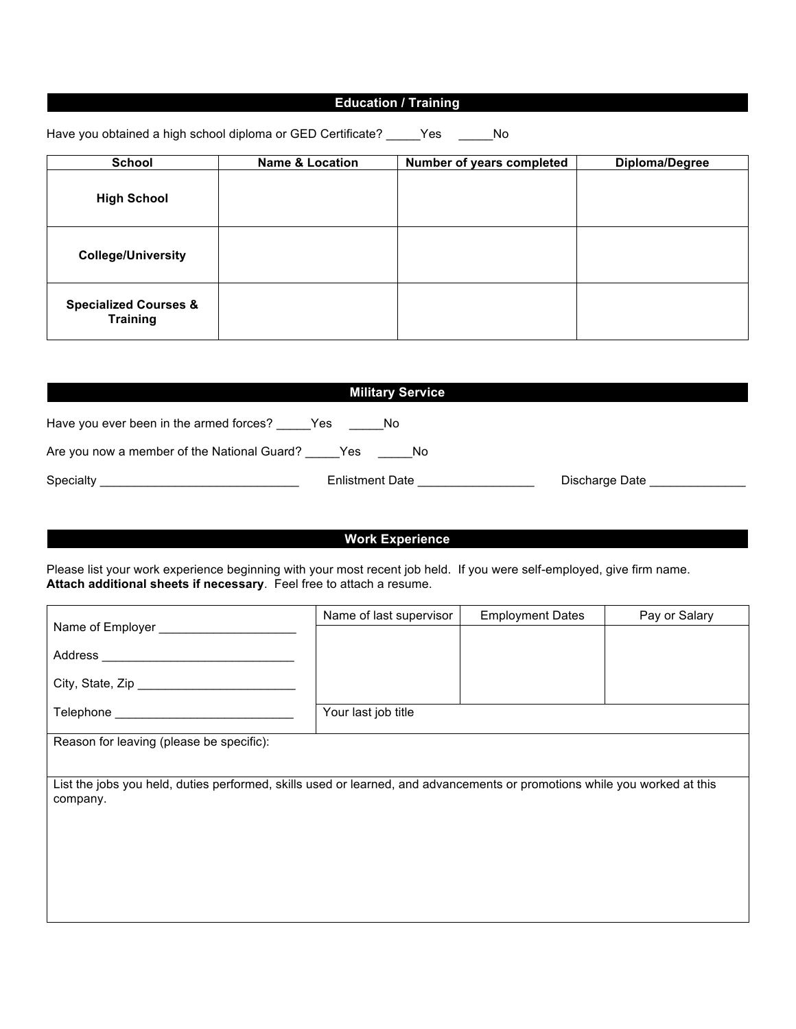### **Education / Training**

Have you obtained a high school diploma or GED Certificate? \_\_\_\_\_Yes \_\_\_\_\_\_No

| <b>School</b>                                       | <b>Name &amp; Location</b> | Number of years completed | Diploma/Degree |
|-----------------------------------------------------|----------------------------|---------------------------|----------------|
| <b>High School</b>                                  |                            |                           |                |
| <b>College/University</b>                           |                            |                           |                |
| <b>Specialized Courses &amp;</b><br><b>Training</b> |                            |                           |                |

| <b>Military Service</b>                                   |                                   |                |  |  |
|-----------------------------------------------------------|-----------------------------------|----------------|--|--|
| Have you ever been in the armed forces? _____Yes ______No |                                   |                |  |  |
| Are you now a member of the National Guard? Yes No        |                                   |                |  |  |
|                                                           | Enlistment Date <b>Enlistment</b> | Discharge Date |  |  |

### **Work Experience**

Please list your work experience beginning with your most recent job held. If you were self-employed, give firm name. **Attach additional sheets if necessary**. Feel free to attach a resume.

|                                                                                                                           | Name of last supervisor | <b>Employment Dates</b> | Pay or Salary |
|---------------------------------------------------------------------------------------------------------------------------|-------------------------|-------------------------|---------------|
|                                                                                                                           |                         |                         |               |
|                                                                                                                           |                         |                         |               |
|                                                                                                                           |                         |                         |               |
|                                                                                                                           | Your last job title     |                         |               |
|                                                                                                                           |                         |                         |               |
| Reason for leaving (please be specific):                                                                                  |                         |                         |               |
|                                                                                                                           |                         |                         |               |
| List the jobs you held, duties performed, skills used or learned, and advancements or promotions while you worked at this |                         |                         |               |
| company.                                                                                                                  |                         |                         |               |
|                                                                                                                           |                         |                         |               |
|                                                                                                                           |                         |                         |               |
|                                                                                                                           |                         |                         |               |
|                                                                                                                           |                         |                         |               |
|                                                                                                                           |                         |                         |               |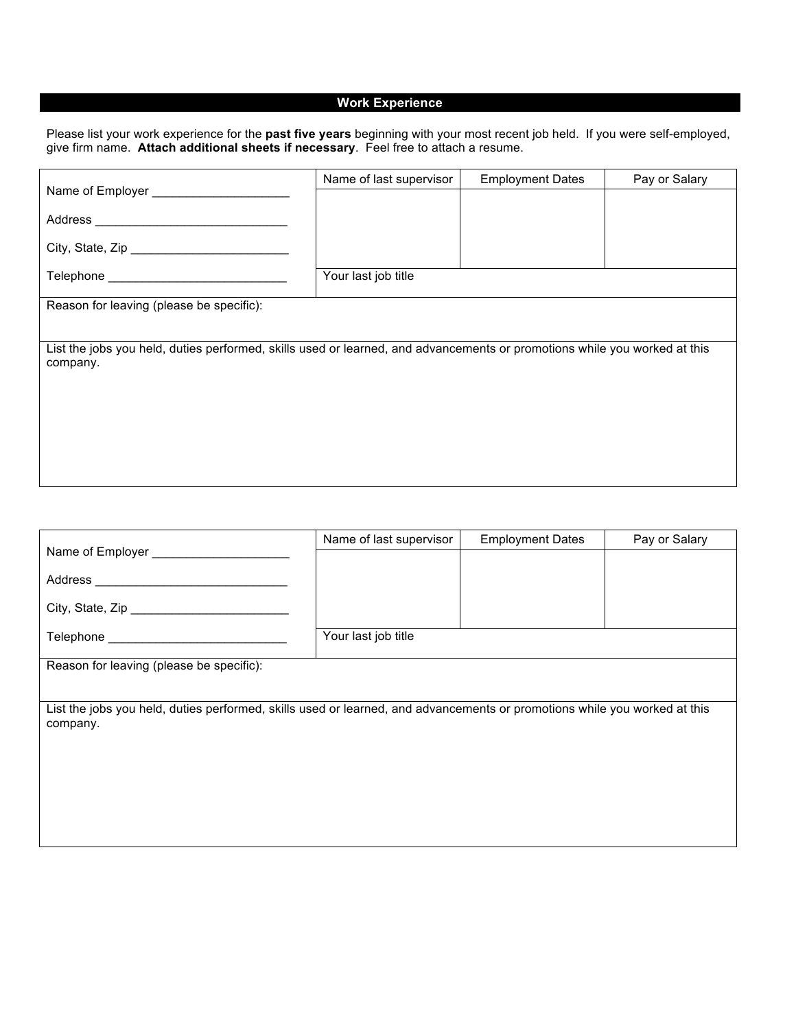## **Work Experience**

Please list your work experience for the **past five years** beginning with your most recent job held. If you were self-employed, give firm name. **Attach additional sheets if necessary**. Feel free to attach a resume.

|                                                                                                                                       | Name of last supervisor | <b>Employment Dates</b> | Pay or Salary |  |  |  |  |
|---------------------------------------------------------------------------------------------------------------------------------------|-------------------------|-------------------------|---------------|--|--|--|--|
| Name of Employer ___________                                                                                                          |                         |                         |               |  |  |  |  |
|                                                                                                                                       |                         |                         |               |  |  |  |  |
| City, State, Zip                                                                                                                      |                         |                         |               |  |  |  |  |
|                                                                                                                                       | Your last job title     |                         |               |  |  |  |  |
| Reason for leaving (please be specific):                                                                                              |                         |                         |               |  |  |  |  |
|                                                                                                                                       |                         |                         |               |  |  |  |  |
| List the jobs you held, duties performed, skills used or learned, and advancements or promotions while you worked at this<br>company. |                         |                         |               |  |  |  |  |
|                                                                                                                                       |                         |                         |               |  |  |  |  |
|                                                                                                                                       |                         |                         |               |  |  |  |  |
|                                                                                                                                       |                         |                         |               |  |  |  |  |
|                                                                                                                                       |                         |                         |               |  |  |  |  |
|                                                                                                                                       |                         |                         |               |  |  |  |  |

|                                                                                                                           | Name of last supervisor | <b>Employment Dates</b> | Pay or Salary |
|---------------------------------------------------------------------------------------------------------------------------|-------------------------|-------------------------|---------------|
| Name of Employer _____________                                                                                            |                         |                         |               |
|                                                                                                                           |                         |                         |               |
|                                                                                                                           |                         |                         |               |
|                                                                                                                           |                         |                         |               |
|                                                                                                                           | Your last job title     |                         |               |
| Reason for leaving (please be specific):                                                                                  |                         |                         |               |
|                                                                                                                           |                         |                         |               |
| List the jobs you held, duties performed, skills used or learned, and advancements or promotions while you worked at this |                         |                         |               |
| company.                                                                                                                  |                         |                         |               |
|                                                                                                                           |                         |                         |               |
|                                                                                                                           |                         |                         |               |
|                                                                                                                           |                         |                         |               |
|                                                                                                                           |                         |                         |               |
|                                                                                                                           |                         |                         |               |
|                                                                                                                           |                         |                         |               |